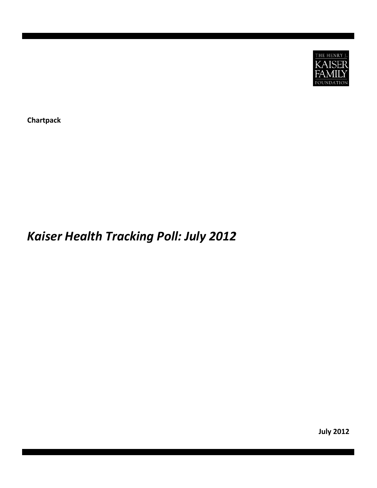

**Chartpack**

## *Kaiser Health Tracking Poll: July 2012*

**July 2012**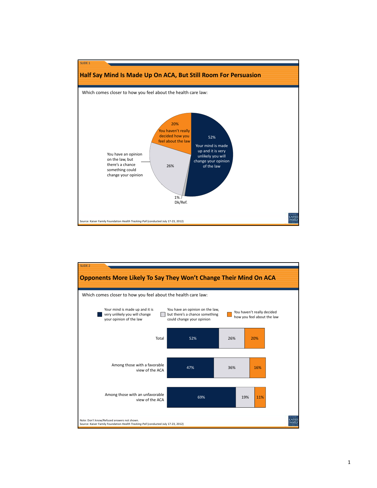

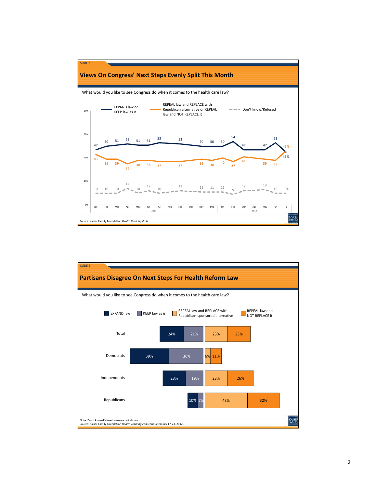

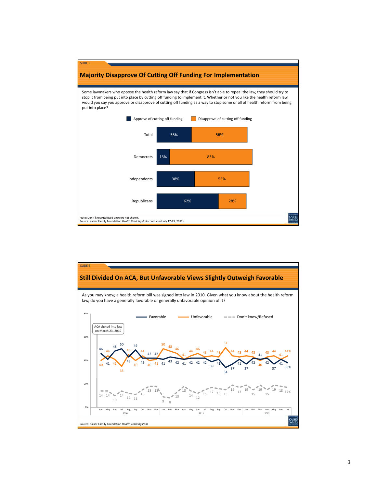

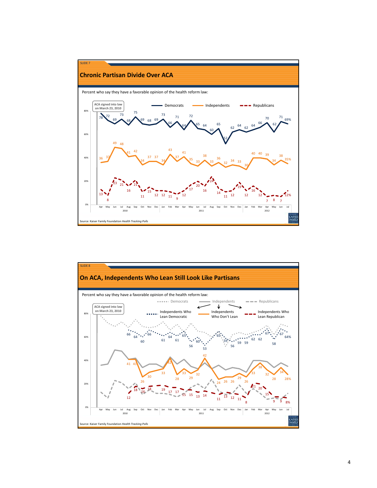

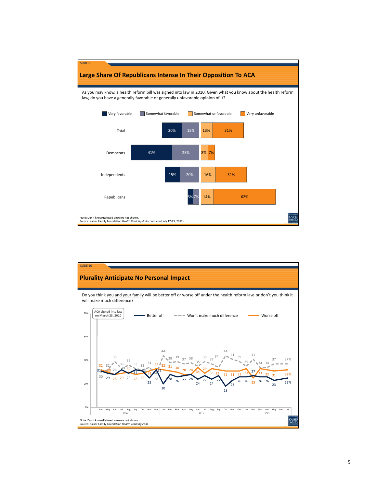

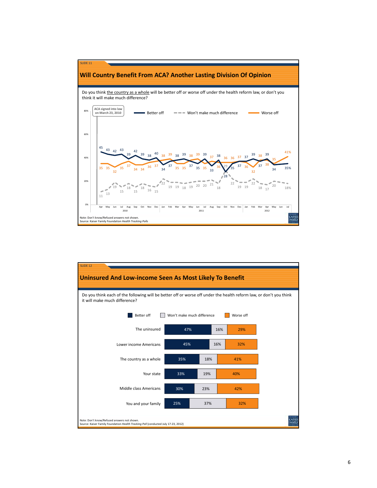

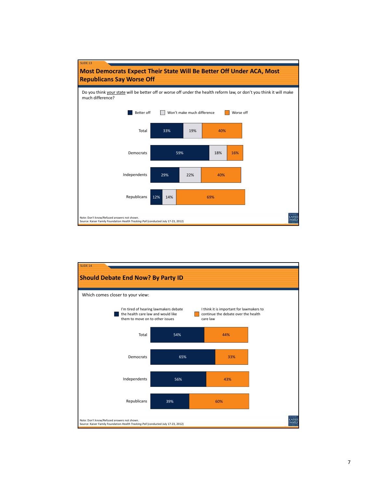

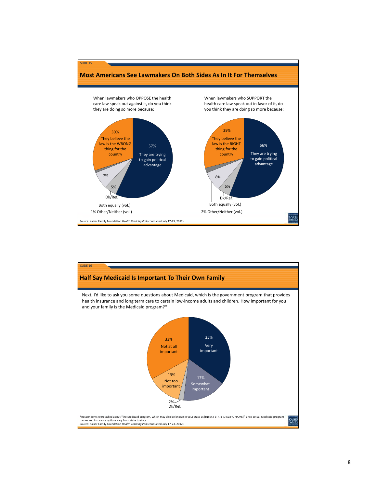

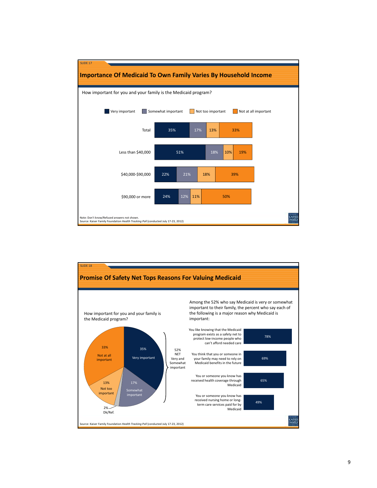

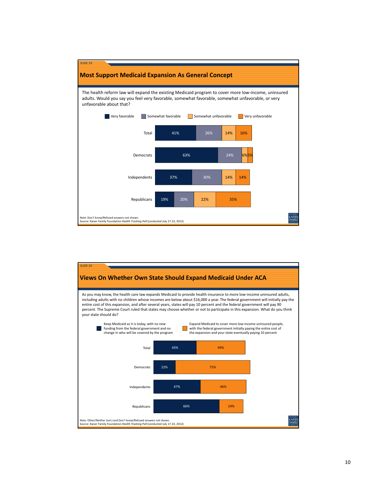

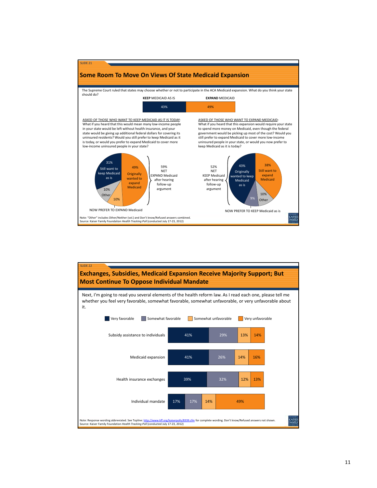

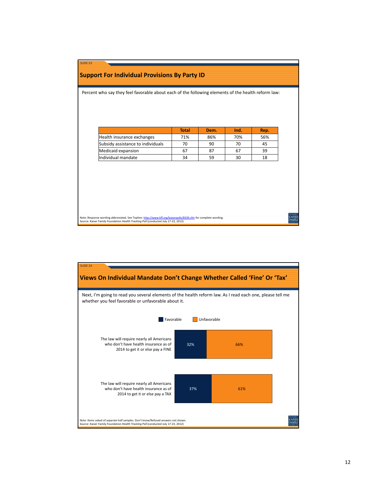| Percent who say they feel favorable about each of the following elements of the health reform law: |              |      |      |      |
|----------------------------------------------------------------------------------------------------|--------------|------|------|------|
|                                                                                                    | <b>Total</b> | Dem. | Ind. | Rep. |
| Health insurance exchanges                                                                         | 71%          | 86%  | 70%  | 56%  |
| Subsidy assistance to individuals                                                                  | 70           | 90   | 70   | 45   |
| Medicaid expansion                                                                                 | 67           | 87   | 67   | 39   |
| Individual mandate                                                                                 | 34           | 59   | 30   | 18   |
|                                                                                                    |              |      |      |      |

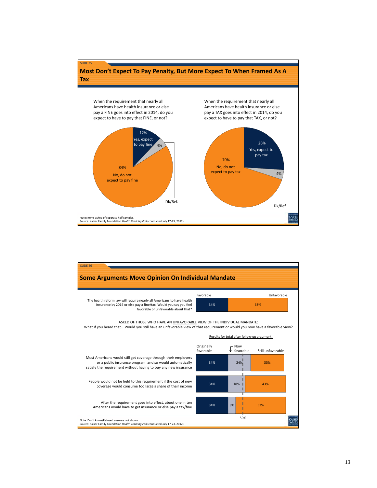

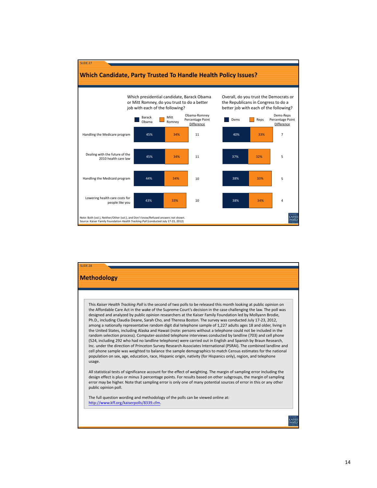

## SLIDE 28**Methodology** This *Kaiser Health Tracking Poll* is the second of two polls to be released this month looking at public opinion on the Affordable Care Act in the wake of the Supreme Court's decision in the case challenging the law. The poll was designed and analyzed by public opinion researchers at the Kaiser Family Foundation led by Mollyann Brodie, Ph.D., including Claudia Deane, Sarah Cho, and Theresa Boston. The survey was conducted July 17‐23, 2012, among a nationally representative random digit dial telephone sample of 1,227 adults ages 18 and older, living in the United States, including Alaska and Hawaii (note: persons without a telephone could not be included in the random selection process). Computer‐assisted telephone interviews conducted by landline (703) and cell phone (524, including 292 who had no landline telephone) were carried out in English and Spanish by Braun Research, Inc. under the direction of Princeton Survey Research Associates International (PSRAI). The combined landline and cell phone sample was weighted to balance the sample demographics to match Census estimates for the national population on sex, age, education, race, Hispanic origin, nativity (for Hispanics only), region, and telephone usage. All statistical tests of significance account for the effect of weighting. The margin of sampling error including the design effect is plus or minus 3 percentage points. For results based on other subgroups, the margin of sampling error may be higher. Note that sampling error is only one of many potential sources of error in this or any other public opinion poll. The full question wording and methodology of the polls can be viewed online at: http://www.kff.org/kaiserpolls/8339.cfm. KAISEI<br>FAMIL